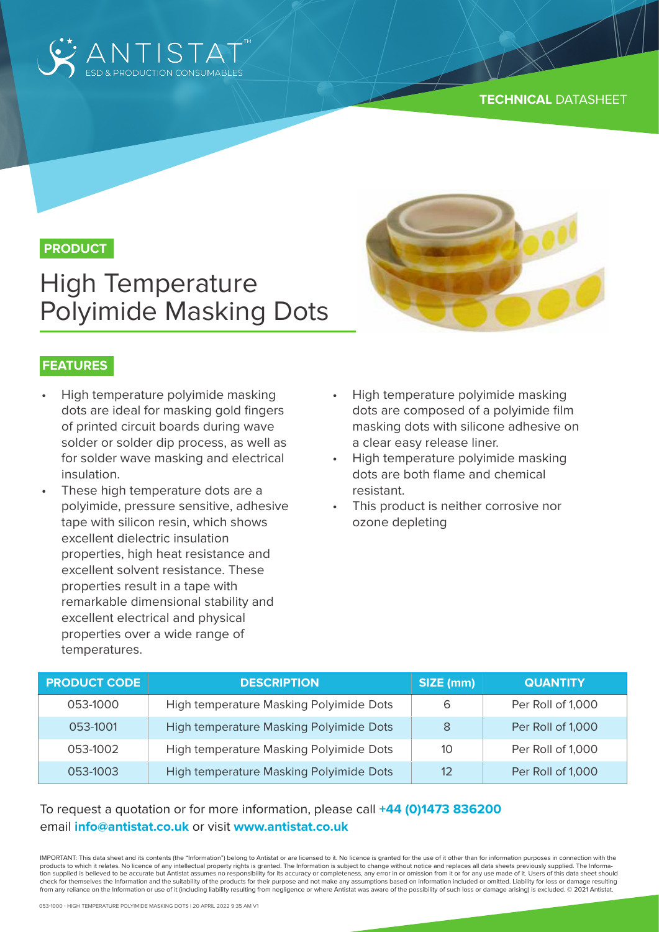

## **PRODUCT**

# High Temperature Polyimide Masking Dots



- High temperature polyimide masking dots are ideal for masking gold fingers of printed circuit boards during wave solder or solder dip process, as well as for solder wave masking and electrical insulation.
- These high temperature dots are a polyimide, pressure sensitive, adhesive tape with silicon resin, which shows excellent dielectric insulation properties, high heat resistance and excellent solvent resistance. These properties result in a tape with remarkable dimensional stability and excellent electrical and physical properties over a wide range of temperatures.
- High temperature polyimide masking dots are composed of a polyimide film masking dots with silicone adhesive on a clear easy release liner.
- High temperature polyimide masking dots are both flame and chemical resistant.
- This product is neither corrosive nor ozone depleting

| <b>PRODUCT CODE</b> | <b>DESCRIPTION</b>                      | SIZE (mm) | <b>QUANTITY</b>   |
|---------------------|-----------------------------------------|-----------|-------------------|
| 053-1000            | High temperature Masking Polyimide Dots | 6         | Per Roll of 1,000 |
| 053-1001            | High temperature Masking Polyimide Dots | 8         | Per Roll of 1,000 |
| 053-1002            | High temperature Masking Polyimide Dots | 10        | Per Roll of 1,000 |
| 053-1003            | High temperature Masking Polyimide Dots | 12        | Per Roll of 1,000 |

### To request a quotation or for more information, please call **+44 (0)1473 836200** email **info@antistat.co.uk** or visit **www.antistat.co.uk**

IMPORTANT: This data sheet and its contents (the "Information") belong to Antistat or are licensed to it. No licence is granted for the use of it other than for information purposes in connection with the products to which it relates. No licence of any intellectual property rights is granted. The Information is subject to change without notice and replaces all data sheets previously supplied. The Information supplied is believed to be accurate but Antistat assumes no responsibility for its accuracy or completeness, any error in or omission from it or for any use made of it. Users of this data sheet should check for themselves the Information and the suitability of the products for their purpose and not make any assumptions based on information included or omitted. Liability for loss or damage resulting from any reliance on the Information or use of it (including liability resulting from negligence or where Antistat was aware of the possibility of such loss or damage arising) is excluded. © 2021 Antistat.